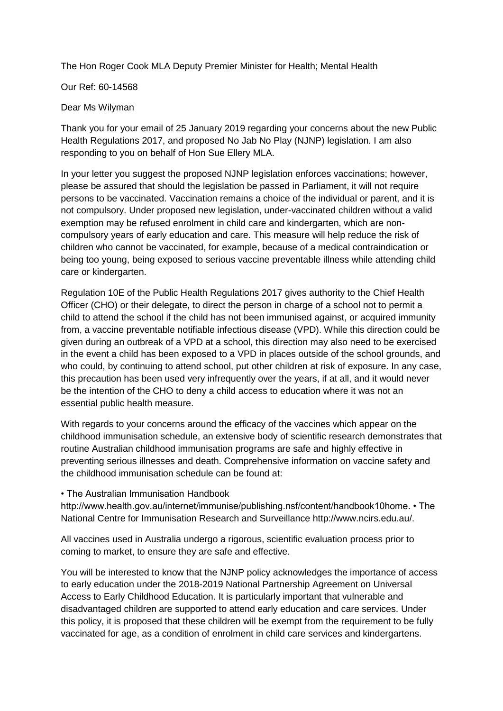The Hon Roger Cook MLA Deputy Premier Minister for Health; Mental Health

Our Ref: 60-14568

## Dear Ms Wilyman

Thank you for your email of 25 January 2019 regarding your concerns about the new Public Health Regulations 2017, and proposed No Jab No Play (NJNP) legislation. I am also responding to you on behalf of Hon Sue Ellery MLA.

In your letter you suggest the proposed NJNP legislation enforces vaccinations; however, please be assured that should the legislation be passed in Parliament, it will not require persons to be vaccinated. Vaccination remains a choice of the individual or parent, and it is not compulsory. Under proposed new legislation, under-vaccinated children without a valid exemption may be refused enrolment in child care and kindergarten, which are noncompulsory years of early education and care. This measure will help reduce the risk of children who cannot be vaccinated, for example, because of a medical contraindication or being too young, being exposed to serious vaccine preventable illness while attending child care or kindergarten.

Regulation 10E of the Public Health Regulations 2017 gives authority to the Chief Health Officer (CHO) or their delegate, to direct the person in charge of a school not to permit a child to attend the school if the child has not been immunised against, or acquired immunity from, a vaccine preventable notifiable infectious disease (VPD). While this direction could be given during an outbreak of a VPD at a school, this direction may also need to be exercised in the event a child has been exposed to a VPD in places outside of the school grounds, and who could, by continuing to attend school, put other children at risk of exposure. In any case, this precaution has been used very infrequently over the years, if at all, and it would never be the intention of the CHO to deny a child access to education where it was not an essential public health measure.

With regards to your concerns around the efficacy of the vaccines which appear on the childhood immunisation schedule, an extensive body of scientific research demonstrates that routine Australian childhood immunisation programs are safe and highly effective in preventing serious illnesses and death. Comprehensive information on vaccine safety and the childhood immunisation schedule can be found at:

• The Australian Immunisation Handbook

http://www.health.gov.au/internet/immunise/publishing.nsf/content/handbook10home. • The National Centre for Immunisation Research and Surveillance http://www.ncirs.edu.au/.

All vaccines used in Australia undergo a rigorous, scientific evaluation process prior to coming to market, to ensure they are safe and effective.

You will be interested to know that the NJNP policy acknowledges the importance of access to early education under the 2018-2019 National Partnership Agreement on Universal Access to Early Childhood Education. It is particularly important that vulnerable and disadvantaged children are supported to attend early education and care services. Under this policy, it is proposed that these children will be exempt from the requirement to be fully vaccinated for age, as a condition of enrolment in child care services and kindergartens.